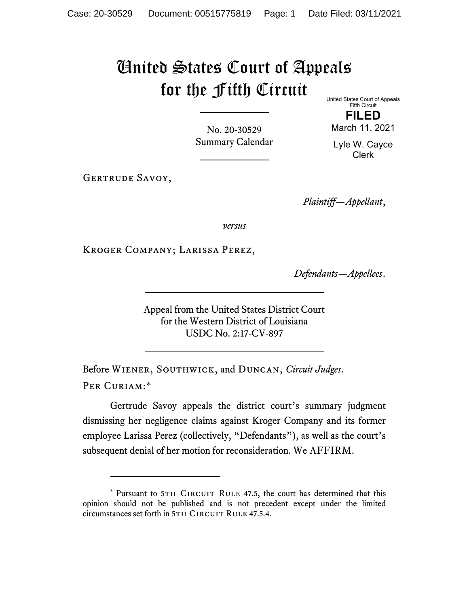# United States Court of Appeals for the Fifth Circuit

United States Court of Appeals Fifth Circuit

No. 20-30529 Summary Calendar

**FILED** March 11, 2021 Lyle W. Cayce

Clerk

GERTRUDE SAVOY,

*Plaintiff—Appellant*,

*versus*

Kroger Company; Larissa Perez,

*Defendants—Appellees*.

Appeal from the United States District Court for the Western District of Louisiana USDC No. 2:17-CV-897

Before Wiener, Southwick, and Duncan, *Circuit Judges*. Per Curiam:[\\*](#page-0-0)

Gertrude Savoy appeals the district court's summary judgment dismissing her negligence claims against Kroger Company and its former employee Larissa Perez (collectively, "Defendants"), as well as the court's subsequent denial of her motion for reconsideration. We AFFIRM.

<span id="page-0-0"></span><sup>\*</sup> Pursuant to 5TH CIRCUIT RULE 47.5, the court has determined that this opinion should not be published and is not precedent except under the limited circumstances set forth in 5TH CIRCUIT RULE 47.5.4.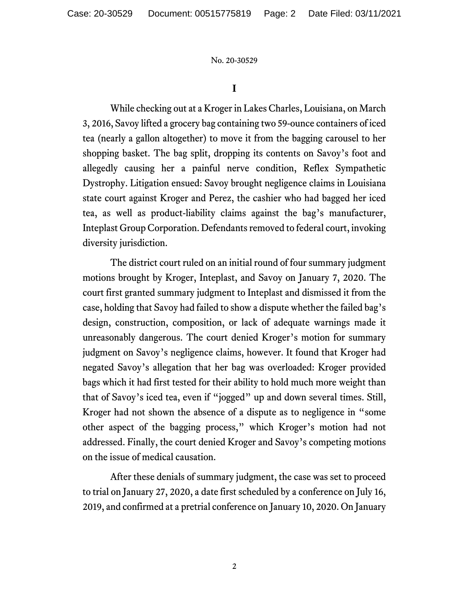**I**

While checking out at a Kroger in Lakes Charles, Louisiana, on March 3, 2016, Savoy lifted a grocery bag containing two 59-ounce containers of iced tea (nearly a gallon altogether) to move it from the bagging carousel to her shopping basket. The bag split, dropping its contents on Savoy's foot and allegedly causing her a painful nerve condition, Reflex Sympathetic Dystrophy. Litigation ensued: Savoy brought negligence claims in Louisiana state court against Kroger and Perez, the cashier who had bagged her iced tea, as well as product-liability claims against the bag's manufacturer, Inteplast Group Corporation. Defendants removed to federal court, invoking diversity jurisdiction.

The district court ruled on an initial round of four summary judgment motions brought by Kroger, Inteplast, and Savoy on January 7, 2020. The court first granted summary judgment to Inteplast and dismissed it from the case, holding that Savoy had failed to show a dispute whether the failed bag's design, construction, composition, or lack of adequate warnings made it unreasonably dangerous. The court denied Kroger's motion for summary judgment on Savoy's negligence claims, however. It found that Kroger had negated Savoy's allegation that her bag was overloaded: Kroger provided bags which it had first tested for their ability to hold much more weight than that of Savoy's iced tea, even if "jogged" up and down several times. Still, Kroger had not shown the absence of a dispute as to negligence in "some other aspect of the bagging process," which Kroger's motion had not addressed. Finally, the court denied Kroger and Savoy's competing motions on the issue of medical causation.

After these denials of summary judgment, the case was set to proceed to trial on January 27, 2020, a date first scheduled by a conference on July 16, 2019, and confirmed at a pretrial conference on January 10, 2020. On January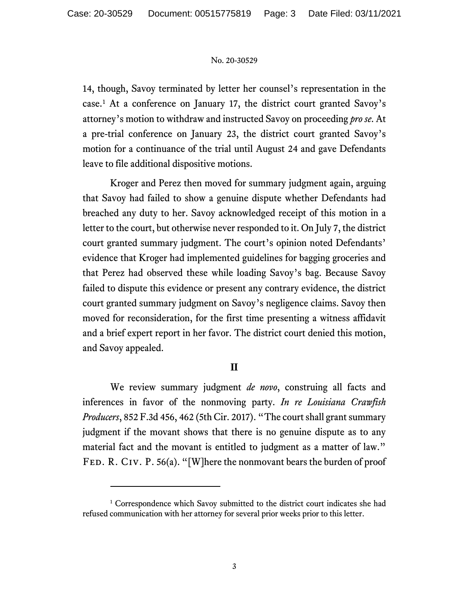14, though, Savoy terminated by letter her counsel's representation in the case.[1](#page-2-0) At a conference on January 17, the district court granted Savoy's attorney's motion to withdraw and instructed Savoy on proceeding *pro se*. At a pre-trial conference on January 23, the district court granted Savoy's motion for a continuance of the trial until August 24 and gave Defendants leave to file additional dispositive motions.

Kroger and Perez then moved for summary judgment again, arguing that Savoy had failed to show a genuine dispute whether Defendants had breached any duty to her. Savoy acknowledged receipt of this motion in a letter to the court, but otherwise never responded to it. On July 7, the district court granted summary judgment. The court's opinion noted Defendants' evidence that Kroger had implemented guidelines for bagging groceries and that Perez had observed these while loading Savoy's bag. Because Savoy failed to dispute this evidence or present any contrary evidence, the district court granted summary judgment on Savoy's negligence claims. Savoy then moved for reconsideration, for the first time presenting a witness affidavit and a brief expert report in her favor. The district court denied this motion, and Savoy appealed.

## **II**

We review summary judgment *de novo*, construing all facts and inferences in favor of the nonmoving party. *In re Louisiana Crawfish Producers*, 852 F.3d 456, 462 (5th Cir. 2017). "The court shall grant summary judgment if the movant shows that there is no genuine dispute as to any material fact and the movant is entitled to judgment as a matter of law." FED. R. CIV. P. 56(a). "[W]here the nonmovant bears the burden of proof

<span id="page-2-0"></span><sup>&</sup>lt;sup>1</sup> Correspondence which Savoy submitted to the district court indicates she had refused communication with her attorney for several prior weeks prior to this letter.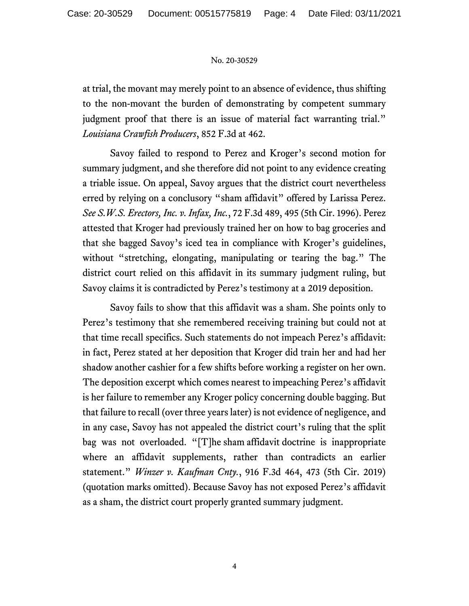at trial, the movant may merely point to an absence of evidence, thus shifting to the non-movant the burden of demonstrating by competent summary judgment proof that there is an issue of material fact warranting trial." *Louisiana Crawfish Producers*, 852 F.3d at 462.

Savoy failed to respond to Perez and Kroger's second motion for summary judgment, and she therefore did not point to any evidence creating a triable issue. On appeal, Savoy argues that the district court nevertheless erred by relying on a conclusory "sham affidavit" offered by Larissa Perez. *See S.W.S. Erectors, Inc. v. Infax, Inc.*, 72 F.3d 489, 495 (5th Cir. 1996). Perez attested that Kroger had previously trained her on how to bag groceries and that she bagged Savoy's iced tea in compliance with Kroger's guidelines, without "stretching, elongating, manipulating or tearing the bag." The district court relied on this affidavit in its summary judgment ruling, but Savoy claims it is contradicted by Perez's testimony at a 2019 deposition.

Savoy fails to show that this affidavit was a sham. She points only to Perez's testimony that she remembered receiving training but could not at that time recall specifics. Such statements do not impeach Perez's affidavit: in fact, Perez stated at her deposition that Kroger did train her and had her shadow another cashier for a few shifts before working a register on her own. The deposition excerpt which comes nearest to impeaching Perez's affidavit is her failure to remember any Kroger policy concerning double bagging. But that failure to recall (over three years later) is not evidence of negligence, and in any case, Savoy has not appealed the district court's ruling that the split bag was not overloaded. "[T]he sham affidavit doctrine is inappropriate where an affidavit supplements, rather than contradicts an earlier statement." *Winzer v. Kaufman Cnty.*, 916 F.3d 464, 473 (5th Cir. 2019) (quotation marks omitted). Because Savoy has not exposed Perez's affidavit as a sham, the district court properly granted summary judgment.